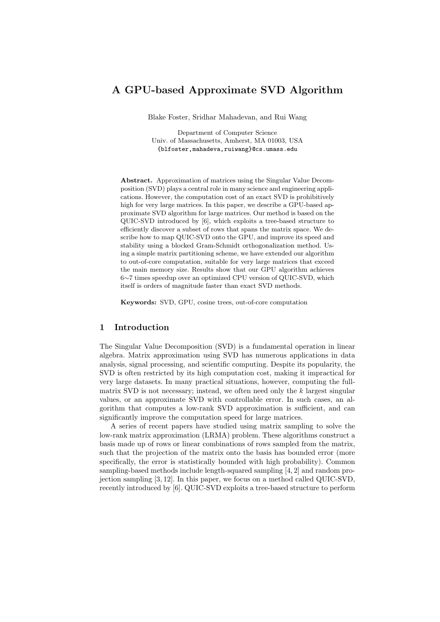# A GPU-based Approximate SVD Algorithm

Blake Foster, Sridhar Mahadevan, and Rui Wang

Department of Computer Science Univ. of Massachusetts, Amherst, MA 01003, USA {blfoster,mahadeva,ruiwang}@cs.umass.edu

Abstract. Approximation of matrices using the Singular Value Decomposition (SVD) plays a central role in many science and engineering applications. However, the computation cost of an exact SVD is prohibitively high for very large matrices. In this paper, we describe a GPU-based approximate SVD algorithm for large matrices. Our method is based on the QUIC-SVD introduced by [6], which exploits a tree-based structure to efficiently discover a subset of rows that spans the matrix space. We describe how to map QUIC-SVD onto the GPU, and improve its speed and stability using a blocked Gram-Schmidt orthogonalization method. Using a simple matrix partitioning scheme, we have extended our algorithm to out-of-core computation, suitable for very large matrices that exceed the main memory size. Results show that our GPU algorithm achieves 6∼7 times speedup over an optimized CPU version of QUIC-SVD, which itself is orders of magnitude faster than exact SVD methods.

Keywords: SVD, GPU, cosine trees, out-of-core computation

## 1 Introduction

The Singular Value Decomposition (SVD) is a fundamental operation in linear algebra. Matrix approximation using SVD has numerous applications in data analysis, signal processing, and scientific computing. Despite its popularity, the SVD is often restricted by its high computation cost, making it impractical for very large datasets. In many practical situations, however, computing the fullmatrix SVD is not necessary; instead, we often need only the  $k$  largest singular values, or an approximate SVD with controllable error. In such cases, an algorithm that computes a low-rank SVD approximation is sufficient, and can significantly improve the computation speed for large matrices.

A series of recent papers have studied using matrix sampling to solve the low-rank matrix approximation (LRMA) problem. These algorithms construct a basis made up of rows or linear combinations of rows sampled from the matrix, such that the projection of the matrix onto the basis has bounded error (more specifically, the error is statistically bounded with high probability). Common sampling-based methods include length-squared sampling [4, 2] and random projection sampling [3, 12]. In this paper, we focus on a method called QUIC-SVD, recently introduced by [6]. QUIC-SVD exploits a tree-based structure to perform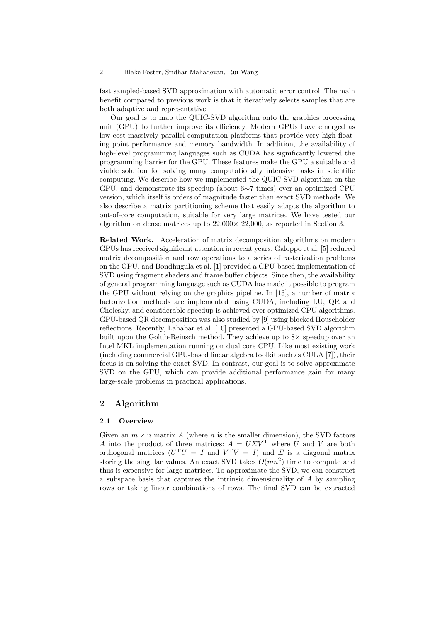#### 2 Blake Foster, Sridhar Mahadevan, Rui Wang

fast sampled-based SVD approximation with automatic error control. The main benefit compared to previous work is that it iteratively selects samples that are both adaptive and representative.

Our goal is to map the QUIC-SVD algorithm onto the graphics processing unit (GPU) to further improve its efficiency. Modern GPUs have emerged as low-cost massively parallel computation platforms that provide very high floating point performance and memory bandwidth. In addition, the availability of high-level programming languages such as CUDA has significantly lowered the programming barrier for the GPU. These features make the GPU a suitable and viable solution for solving many computationally intensive tasks in scientific computing. We describe how we implemented the QUIC-SVD algorithm on the GPU, and demonstrate its speedup (about 6∼7 times) over an optimized CPU version, which itself is orders of magnitude faster than exact SVD methods. We also describe a matrix partitioning scheme that easily adapts the algorithm to out-of-core computation, suitable for very large matrices. We have tested our algorithm on dense matrices up to  $22.000 \times 22.000$ , as reported in Section 3.

Related Work. Acceleration of matrix decomposition algorithms on modern GPUs has received significant attention in recent years. Galoppo et al. [5] reduced matrix decomposition and row operations to a series of rasterization problems on the GPU, and Bondhugula et al. [1] provided a GPU-based implementation of SVD using fragment shaders and frame buffer objects. Since then, the availability of general programming language such as CUDA has made it possible to program the GPU without relying on the graphics pipeline. In [13], a number of matrix factorization methods are implemented using CUDA, including LU, QR and Cholesky, and considerable speedup is achieved over optimized CPU algorithms. GPU-based QR decomposition was also studied by [9] using blocked Householder reflections. Recently, Lahabar et al. [10] presented a GPU-based SVD algorithm built upon the Golub-Reinsch method. They achieve up to  $8\times$  speedup over an Intel MKL implementation running on dual core CPU. Like most existing work (including commercial GPU-based linear algebra toolkit such as CULA [7]), their focus is on solving the exact SVD. In contrast, our goal is to solve approximate SVD on the GPU, which can provide additional performance gain for many large-scale problems in practical applications.

# 2 Algorithm

#### 2.1 Overview

Given an  $m \times n$  matrix A (where n is the smaller dimension), the SVD factors A into the product of three matrices:  $A = U\Sigma V^{T}$  where U and V are both orthogonal matrices  $(U<sup>T</sup>U = I$  and  $V<sup>T</sup>V = I)$  and  $\Sigma$  is a diagonal matrix storing the singular values. An exact SVD takes  $O(mn^2)$  time to compute and thus is expensive for large matrices. To approximate the SVD, we can construct a subspace basis that captures the intrinsic dimensionality of A by sampling rows or taking linear combinations of rows. The final SVD can be extracted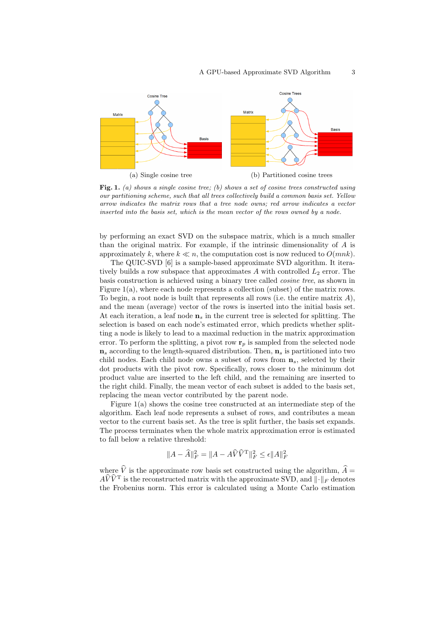

Fig. 1. (a) shows a single cosine tree; (b) shows a set of cosine trees constructed using our partitioning scheme, such that all trees collectively build a common basis set. Yellow arrow indicates the matrix rows that a tree node owns; red arrow indicates a vector inserted into the basis set, which is the mean vector of the rows owned by a node.

by performing an exact SVD on the subspace matrix, which is a much smaller than the original matrix. For example, if the intrinsic dimensionality of A is approximately k, where  $k \ll n$ , the computation cost is now reduced to  $O(mnk)$ .

The QUIC-SVD [6] is a sample-based approximate SVD algorithm. It iteratively builds a row subspace that approximates A with controlled  $L_2$  error. The basis construction is achieved using a binary tree called cosine tree, as shown in Figure 1(a), where each node represents a collection (subset) of the matrix rows. To begin, a root node is built that represents all rows (i.e. the entire matrix  $A$ ), and the mean (average) vector of the rows is inserted into the initial basis set. At each iteration, a leaf node  $n_s$  in the current tree is selected for splitting. The selection is based on each node's estimated error, which predicts whether splitting a node is likely to lead to a maximal reduction in the matrix approximation error. To perform the splitting, a pivot row  $\mathbf{r}_p$  is sampled from the selected node  $n_s$  according to the length-squared distribution. Then,  $n_s$  is partitioned into two child nodes. Each child node owns a subset of rows from  $n_s$ , selected by their dot products with the pivot row. Specifically, rows closer to the minimum dot product value are inserted to the left child, and the remaining are inserted to the right child. Finally, the mean vector of each subset is added to the basis set, replacing the mean vector contributed by the parent node.

Figure  $1(a)$  shows the cosine tree constructed at an intermediate step of the algorithm. Each leaf node represents a subset of rows, and contributes a mean vector to the current basis set. As the tree is split further, the basis set expands. The process terminates when the whole matrix approximation error is estimated to fall below a relative threshold:

$$
||A - \widehat{A}||_F^2 = ||A - A\widehat{V}\widehat{V}^T||_F^2 \le \epsilon ||A||_F^2
$$

where  $\hat{V}$  is the approximate row basis set constructed using the algorithm,  $\hat{A} =$  $A\hat{V}\hat{V}^{\text{T}}$  is the reconstructed matrix with the approximate SVD, and  $\lVert \cdot \rVert_F$  denotes the Frobenius norm. This error is calculated using a Monte Carlo estimation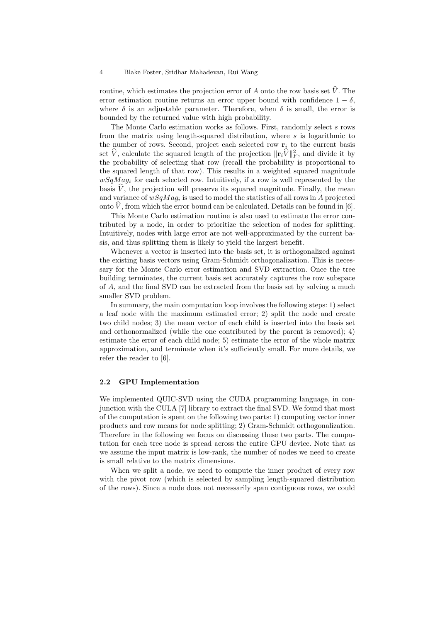#### 4 Blake Foster, Sridhar Mahadevan, Rui Wang

routine, which estimates the projection error of A onto the row basis set  $\hat{V}$ . The error estimation routine returns an error upper bound with confidence  $1 - \delta$ , where  $\delta$  is an adjustable parameter. Therefore, when  $\delta$  is small, the error is bounded by the returned value with high probability.

The Monte Carlo estimation works as follows. First, randomly select s rows from the matrix using length-squared distribution, where s is logarithmic to the number of rows. Second, project each selected row  $\mathbf{r}_i$  to the current basis set  $\hat{V}$ , calculate the squared length of the projection  $\|\mathbf{r}_i\hat{V}\|_F^2$ , and divide it by the probability of selecting that row (recall the probability is proportional to the squared length of that row). This results in a weighted squared magnitude  $wSqMag_i$  for each selected row. Intuitively, if a row is well represented by the basis  $\dot{V}$ , the projection will preserve its squared magnitude. Finally, the mean and variance of  $wSqMag_i$  is used to model the statistics of all rows in A projected onto  $\hat{V}$ , from which the error bound can be calculated. Details can be found in [6].

This Monte Carlo estimation routine is also used to estimate the error contributed by a node, in order to prioritize the selection of nodes for splitting. Intuitively, nodes with large error are not well-approximated by the current basis, and thus splitting them is likely to yield the largest benefit.

Whenever a vector is inserted into the basis set, it is orthogonalized against the existing basis vectors using Gram-Schmidt orthogonalization. This is necessary for the Monte Carlo error estimation and SVD extraction. Once the tree building terminates, the current basis set accurately captures the row subspace of A, and the final SVD can be extracted from the basis set by solving a much smaller SVD problem.

In summary, the main computation loop involves the following steps: 1) select a leaf node with the maximum estimated error; 2) split the node and create two child nodes; 3) the mean vector of each child is inserted into the basis set and orthonormalized (while the one contributed by the parent is removed); 4) estimate the error of each child node; 5) estimate the error of the whole matrix approximation, and terminate when it's sufficiently small. For more details, we refer the reader to [6].

#### 2.2 GPU Implementation

We implemented QUIC-SVD using the CUDA programming language, in conjunction with the CULA [7] library to extract the final SVD. We found that most of the computation is spent on the following two parts: 1) computing vector inner products and row means for node splitting; 2) Gram-Schmidt orthogonalization. Therefore in the following we focus on discussing these two parts. The computation for each tree node is spread across the entire GPU device. Note that as we assume the input matrix is low-rank, the number of nodes we need to create is small relative to the matrix dimensions.

When we split a node, we need to compute the inner product of every row with the pivot row (which is selected by sampling length-squared distribution of the rows). Since a node does not necessarily span contiguous rows, we could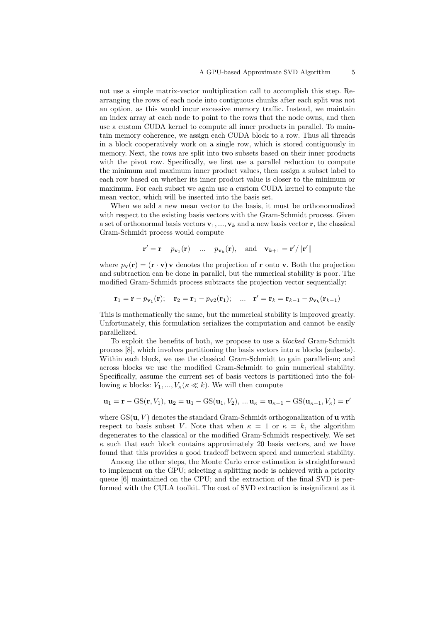not use a simple matrix-vector multiplication call to accomplish this step. Rearranging the rows of each node into contiguous chunks after each split was not an option, as this would incur excessive memory traffic. Instead, we maintain an index array at each node to point to the rows that the node owns, and then use a custom CUDA kernel to compute all inner products in parallel. To maintain memory coherence, we assign each CUDA block to a row. Thus all threads in a block cooperatively work on a single row, which is stored contiguously in memory. Next, the rows are split into two subsets based on their inner products with the pivot row. Specifically, we first use a parallel reduction to compute the minimum and maximum inner product values, then assign a subset label to each row based on whether its inner product value is closer to the minimum or maximum. For each subset we again use a custom CUDA kernel to compute the mean vector, which will be inserted into the basis set.

When we add a new mean vector to the basis, it must be orthonormalized with respect to the existing basis vectors with the Gram-Schmidt process. Given a set of orthonormal basis vectors  $v_1, ..., v_k$  and a new basis vector r, the classical Gram-Schmidt process would compute

$$
\mathbf{r}' = \mathbf{r} - p_{\mathbf{v}_1}(\mathbf{r}) - \dots - p_{\mathbf{v}_k}(\mathbf{r}), \text{ and } \mathbf{v}_{k+1} = \mathbf{r}' / \|\mathbf{r}'\|
$$

where  $p_{\mathbf{v}}(\mathbf{r}) = (\mathbf{r} \cdot \mathbf{v}) \mathbf{v}$  denotes the projection of r onto v. Both the projection and subtraction can be done in parallel, but the numerical stability is poor. The modified Gram-Schmidt process subtracts the projection vector sequentially:

$$
\mathbf{r}_1 = \mathbf{r} - p_{\mathbf{v}_1}(\mathbf{r}); \quad \mathbf{r}_2 = \mathbf{r}_1 - p_{\mathbf{v}_2}(\mathbf{r}_1); \quad \dots \quad \mathbf{r}' = \mathbf{r}_k = \mathbf{r}_{k-1} - p_{\mathbf{v}_k}(\mathbf{r}_{k-1})
$$

This is mathematically the same, but the numerical stability is improved greatly. Unfortunately, this formulation serializes the computation and cannot be easily parallelized.

To exploit the benefits of both, we propose to use a blocked Gram-Schmidt process [8], which involves partitioning the basis vectors into  $\kappa$  blocks (subsets). Within each block, we use the classical Gram-Schmidt to gain parallelism; and across blocks we use the modified Gram-Schmidt to gain numerical stability. Specifically, assume the current set of basis vectors is partitioned into the following  $\kappa$  blocks:  $V_1, ..., V_{\kappa}$  ( $\kappa \ll k$ ). We will then compute

$$
\mathbf{u}_1 = \mathbf{r} - \mathrm{GS}(\mathbf{r},V_1), \, \mathbf{u}_2 = \mathbf{u}_1 - \mathrm{GS}(\mathbf{u}_1,V_2), \, ... \, \mathbf{u}_\kappa = \mathbf{u}_{\kappa-1} - \mathrm{GS}(\mathbf{u}_{\kappa-1},V_\kappa) = \mathbf{r}'
$$

where  $GS(\mathbf{u}, V)$  denotes the standard Gram-Schmidt orthogonalization of  $\mathbf{u}$  with respect to basis subset V. Note that when  $\kappa = 1$  or  $\kappa = k$ , the algorithm degenerates to the classical or the modified Gram-Schmidt respectively. We set  $\kappa$  such that each block contains approximately 20 basis vectors, and we have found that this provides a good tradeoff between speed and numerical stability.

Among the other steps, the Monte Carlo error estimation is straightforward to implement on the GPU; selecting a splitting node is achieved with a priority queue [6] maintained on the CPU; and the extraction of the final SVD is performed with the CULA toolkit. The cost of SVD extraction is insignificant as it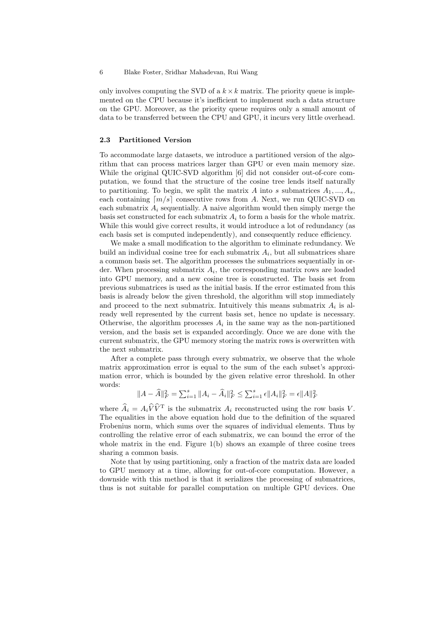only involves computing the SVD of a  $k \times k$  matrix. The priority queue is implemented on the CPU because it's inefficient to implement such a data structure on the GPU. Moreover, as the priority queue requires only a small amount of data to be transferred between the CPU and GPU, it incurs very little overhead.

#### 2.3 Partitioned Version

To accommodate large datasets, we introduce a partitioned version of the algorithm that can process matrices larger than GPU or even main memory size. While the original QUIC-SVD algorithm [6] did not consider out-of-core computation, we found that the structure of the cosine tree lends itself naturally to partitioning. To begin, we split the matrix A into s submatrices  $A_1, ..., A_s$ , each containing  $[m/s]$  consecutive rows from A. Next, we run QUIC-SVD on each submatrix  $A_i$  sequentially. A naive algorithm would then simply merge the basis set constructed for each submatrix  $A_i$  to form a basis for the whole matrix. While this would give correct results, it would introduce a lot of redundancy (as each basis set is computed independently), and consequently reduce efficiency.

We make a small modification to the algorithm to eliminate redundancy. We build an individual cosine tree for each submatrix  $A_i$ , but all submatrices share a common basis set. The algorithm processes the submatrices sequentially in order. When processing submatrix  $A_i$ , the corresponding matrix rows are loaded into GPU memory, and a new cosine tree is constructed. The basis set from previous submatrices is used as the initial basis. If the error estimated from this basis is already below the given threshold, the algorithm will stop immediately and proceed to the next submatrix. Intuitively this means submatrix  $A_i$  is already well represented by the current basis set, hence no update is necessary. Otherwise, the algorithm processes  $A_i$  in the same way as the non-partitioned version, and the basis set is expanded accordingly. Once we are done with the current submatrix, the GPU memory storing the matrix rows is overwritten with the next submatrix.

After a complete pass through every submatrix, we observe that the whole matrix approximation error is equal to the sum of the each subset's approximation error, which is bounded by the given relative error threshold. In other words:

$$
||A - \widehat{A}||_F^2 = \sum_{i=1}^s ||A_i - \widehat{A}_i||_F^2 \le \sum_{i=1}^s \epsilon ||A_i||_F^2 = \epsilon ||A||_F^2
$$

where  $\hat{A}_i = A_i \hat{V} \hat{V}^T$  is the submatrix  $A_i$  reconstructed using the row basis V. The equalities in the above equation hold due to the definition of the squared Frobenius norm, which sums over the squares of individual elements. Thus by controlling the relative error of each submatrix, we can bound the error of the whole matrix in the end. Figure 1(b) shows an example of three cosine trees sharing a common basis.

Note that by using partitioning, only a fraction of the matrix data are loaded to GPU memory at a time, allowing for out-of-core computation. However, a downside with this method is that it serializes the processing of submatrices, thus is not suitable for parallel computation on multiple GPU devices. One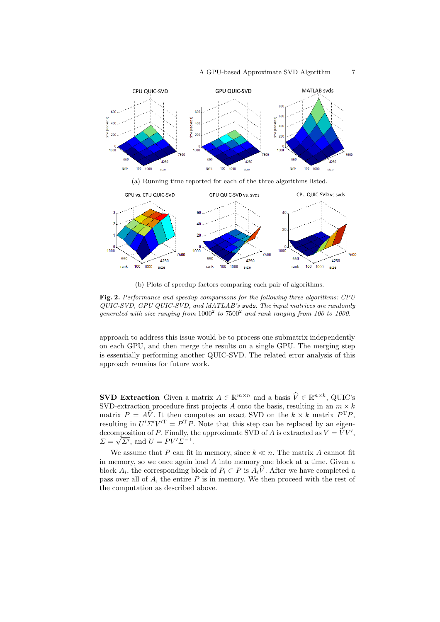

(b) Plots of speedup factors comparing each pair of algorithms.

Fig. 2. Performance and speedup comparisons for the following three algorithms: CPU QUIC-SVD, GPU QUIC-SVD, and MATLAB's svds. The input matrices are randomly generated with size ranging from  $1000^2$  to  $7500^2$  and rank ranging from 100 to 1000.

approach to address this issue would be to process one submatrix independently on each GPU, and then merge the results on a single GPU. The merging step is essentially performing another QUIC-SVD. The related error analysis of this approach remains for future work.

**SVD Extraction** Given a matrix  $A \in \mathbb{R}^{m \times n}$  and a basis  $\widehat{V} \in \mathbb{R}^{n \times k}$ , QUIC's SVD-extraction procedure first projects A onto the basis, resulting in an  $m \times k$ matrix  $P = A\hat{V}$ . It then computes an exact SVD on the  $k \times k$  matrix  $P^{T}P$ , resulting in  $U' \Sigma' V'^T = P^T P$ . Note that this step can be replaced by an eigendecomposition of P. Finally, the approximate SVD of A is extracted as  $V = \hat{V}V'$ ,  $\Sigma = \sqrt{\Sigma'}$ , and  $U = PV'\Sigma^{-1}$ .

We assume that P can fit in memory, since  $k \ll n$ . The matrix A cannot fit in memory, so we once again load A into memory one block at a time. Given a block  $A_i$ , the corresponding block of  $P_i \subset P$  is  $A_iV$ . After we have completed a pass over all of  $A$ , the entire  $P$  is in memory. We then proceed with the rest of the computation as described above.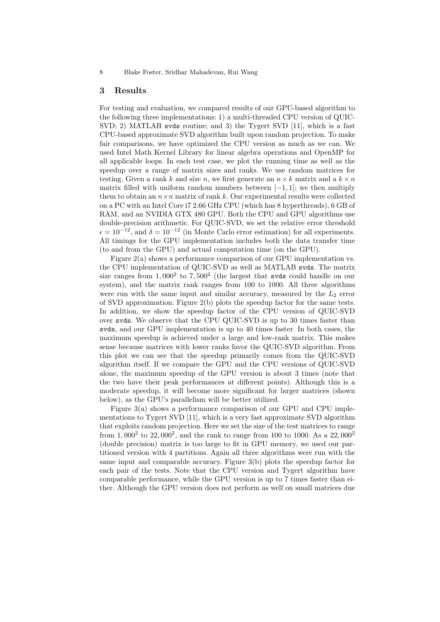## 3 Results

For testing and evaluation, we compared results of our GPU-based algorithm to the following three implementations: 1) a multi-threaded CPU version of QUIC-SVD; 2) MATLAB svds routine; and 3) the Tygert SVD [11], which is a fast CPU-based approximate SVD algorithm built upon random projection. To make fair comparisons, we have optimized the CPU version as much as we can. We used Intel Math Kernel Library for linear algebra operations and OpenMP for all applicable loops. In each test case, we plot the running time as well as the speedup over a range of matrix sizes and ranks. We use random matrices for testing. Given a rank k and size n, we first generate an  $n \times k$  matrix and a  $k \times n$ matrix filled with uniform random numbers between  $[-1, 1]$ ; we then multiply them to obtain an  $n \times n$  matrix of rank k. Our experimental results were collected on a PC with an Intel Core i7 2.66 GHz CPU (which has 8 hyperthreads), 6 GB of RAM, and an NVIDIA GTX 480 GPU. Both the CPU and GPU algorithms use double-precision arithmetic. For QUIC-SVD, we set the relative error threshold  $\epsilon = 10^{-12}$ , and  $\delta = 10^{-12}$  (in Monte Carlo error estimation) for all experiments. All timings for the GPU implementation includes both the data transfer time (to and from the GPU) and actual computation time (on the GPU).

Figure 2(a) shows a performance comparison of our GPU implementation vs. the CPU implementation of QUIC-SVD as well as MATLAB svds. The matrix size ranges from  $1,000^2$  to  $7,500^2$  (the largest that svds could handle on our system), and the matrix rank ranges from 100 to 1000. All three algorithms were run with the same input and similar accuracy, measured by the  $L_2$  error of SVD approximation. Figure 2(b) plots the speedup factor for the same tests. In addition, we show the speedup factor of the CPU version of QUIC-SVD over svds. We observe that the CPU QUIC-SVD is up to 30 times faster than svds, and our GPU implementation is up to 40 times faster. In both cases, the maximum speedup is achieved under a large and low-rank matrix. This makes sense because matrices with lower ranks favor the QUIC-SVD algorithm. From this plot we can see that the speedup primarily comes from the QUIC-SVD algorithm itself. If we compare the GPU and the CPU versions of QUIC-SVD alone, the maximum speedup of the GPU version is about 3 times (note that the two have their peak performances at different points). Although this is a moderate speedup, it will become more significant for larger matrices (shown below), as the GPU's parallelism will be better utilized.

Figure 3(a) shows a performance comparison of our GPU and CPU implementations to Tygert SVD [11], which is a very fast approximate SVD algorithm that exploits random projection. Here we set the size of the test matrices to range from  $1,000^2$  to  $22,000^2$ , and the rank to range from 100 to 1000. As a  $22,000^2$ (double precision) matrix is too large to fit in GPU memory, we used our partitioned version with 4 partitions. Again all three algorithms were run with the same input and comparable accuracy. Figure 3(b) plots the speedup factor for each pair of the tests. Note that the CPU version and Tygert algorithm have comparable performance, while the GPU version is up to 7 times faster than either. Although the GPU version does not perform as well on small matrices due

<sup>8</sup> Blake Foster, Sridhar Mahadevan, Rui Wang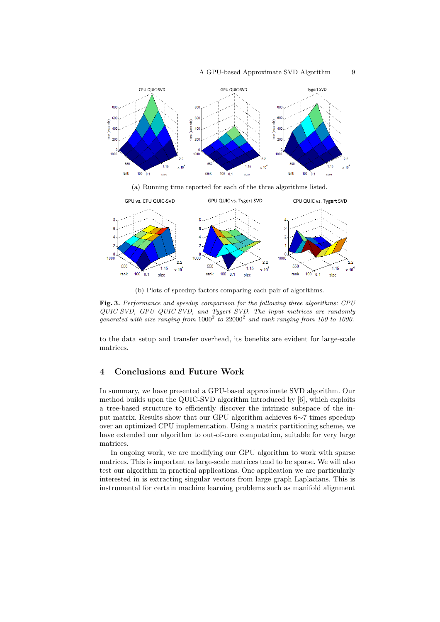

(a) Running time reported for each of the three algorithms listed.



(b) Plots of speedup factors comparing each pair of algorithms.

Fig. 3. Performance and speedup comparison for the following three algorithms: CPU QUIC-SVD, GPU QUIC-SVD, and Tygert SVD. The input matrices are randomly generated with size ranging from  $1000^2$  to  $22000^2$  and rank ranging from 100 to 1000.

to the data setup and transfer overhead, its benefits are evident for large-scale matrices.

# 4 Conclusions and Future Work

In summary, we have presented a GPU-based approximate SVD algorithm. Our method builds upon the QUIC-SVD algorithm introduced by [6], which exploits a tree-based structure to efficiently discover the intrinsic subspace of the input matrix. Results show that our GPU algorithm achieves 6∼7 times speedup over an optimized CPU implementation. Using a matrix partitioning scheme, we have extended our algorithm to out-of-core computation, suitable for very large matrices.

In ongoing work, we are modifying our GPU algorithm to work with sparse matrices. This is important as large-scale matrices tend to be sparse. We will also test our algorithm in practical applications. One application we are particularly interested in is extracting singular vectors from large graph Laplacians. This is instrumental for certain machine learning problems such as manifold alignment